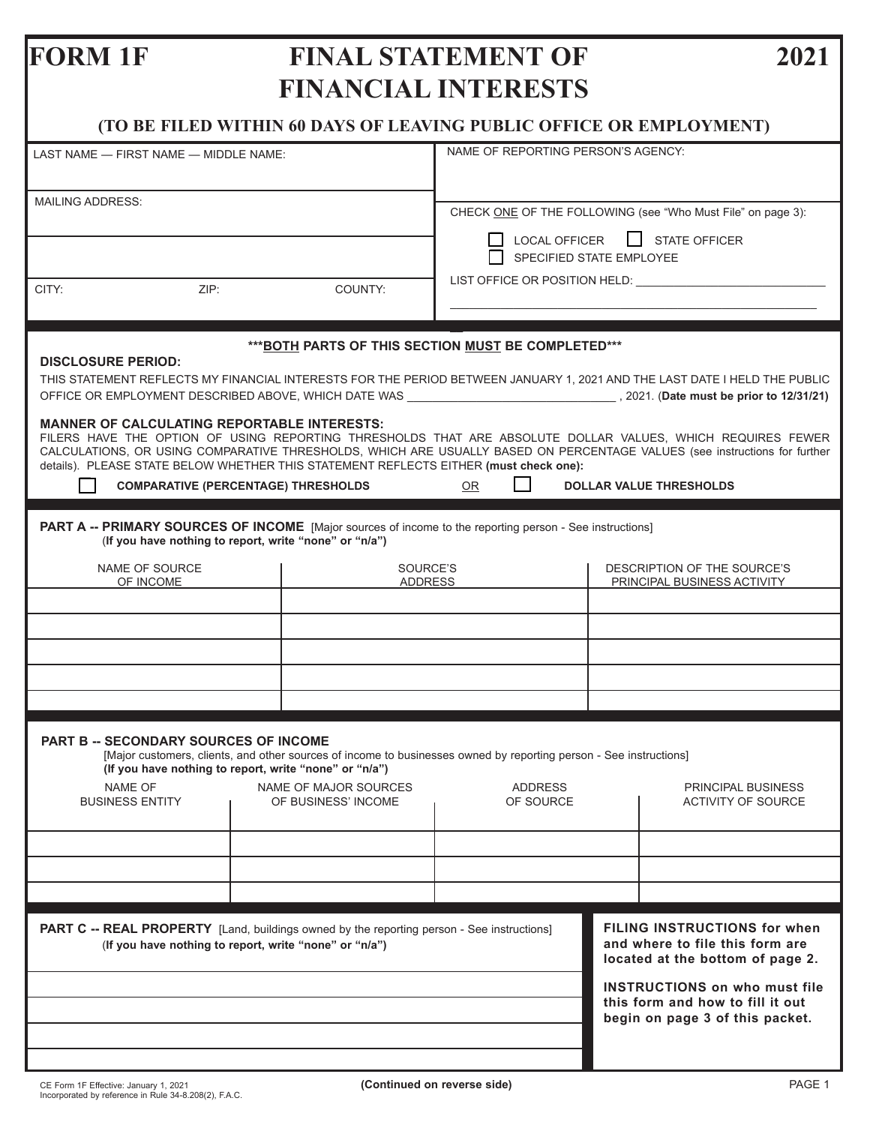# **FORM 1F FINAL STATEMENT OF 2021 FINANCIAL INTERESTS**

**(TO BE FILED WITHIN 60 DAYS OF LEAVING PUBLIC OFFICE OR EMPLOYMENT)**

| LAST NAME - FIRST NAME - MIDDLE NAME:                                                                                                                                                                                                                                                                                                                                                                                                                                               |                                                                                                             | NAME OF REPORTING PERSON'S AGENCY:                                                                                                                                                                                            |  |                                                                                                             |  |
|-------------------------------------------------------------------------------------------------------------------------------------------------------------------------------------------------------------------------------------------------------------------------------------------------------------------------------------------------------------------------------------------------------------------------------------------------------------------------------------|-------------------------------------------------------------------------------------------------------------|-------------------------------------------------------------------------------------------------------------------------------------------------------------------------------------------------------------------------------|--|-------------------------------------------------------------------------------------------------------------|--|
| <b>MAILING ADDRESS:</b>                                                                                                                                                                                                                                                                                                                                                                                                                                                             | CHECK ONE OF THE FOLLOWING (see "Who Must File" on page 3):<br><b>STATE OFFICER</b><br><b>LOCAL OFFICER</b> |                                                                                                                                                                                                                               |  |                                                                                                             |  |
|                                                                                                                                                                                                                                                                                                                                                                                                                                                                                     |                                                                                                             | SPECIFIED STATE EMPLOYEE                                                                                                                                                                                                      |  |                                                                                                             |  |
| ZIP:<br>CITY:                                                                                                                                                                                                                                                                                                                                                                                                                                                                       | COUNTY:                                                                                                     | LIST OFFICE OR POSITION HELD: NOTIFIED AND THE STATE OF THE STATE OF THE STATE OF THE STATE OF THE STATE OF THE STATE OF THE STATE OF THE STATE OF THE STATE OF THE STATE OF THE STATE OF THE STATE OF THE STATE OF THE STATE |  |                                                                                                             |  |
| *** BOTH PARTS OF THIS SECTION MUST BE COMPLETED***<br><b>DISCLOSURE PERIOD:</b><br>THIS STATEMENT REFLECTS MY FINANCIAL INTERESTS FOR THE PERIOD BETWEEN JANUARY 1, 2021 AND THE LAST DATE I HELD THE PUBLIC                                                                                                                                                                                                                                                                       |                                                                                                             |                                                                                                                                                                                                                               |  |                                                                                                             |  |
| <b>MANNER OF CALCULATING REPORTABLE INTERESTS:</b><br>FILERS HAVE THE OPTION OF USING REPORTING THRESHOLDS THAT ARE ABSOLUTE DOLLAR VALUES. WHICH REQUIRES FEWER<br>CALCULATIONS, OR USING COMPARATIVE THRESHOLDS, WHICH ARE USUALLY BASED ON PERCENTAGE VALUES (see instructions for further<br>details). PLEASE STATE BELOW WHETHER THIS STATEMENT REFLECTS EITHER (must check one):<br><b>COMPARATIVE (PERCENTAGE) THRESHOLDS</b><br><b>OR</b><br><b>DOLLAR VALUE THRESHOLDS</b> |                                                                                                             |                                                                                                                                                                                                                               |  |                                                                                                             |  |
|                                                                                                                                                                                                                                                                                                                                                                                                                                                                                     |                                                                                                             |                                                                                                                                                                                                                               |  |                                                                                                             |  |
| <b>PART A -- PRIMARY SOURCES OF INCOME</b> [Major sources of income to the reporting person - See instructions]<br>(If you have nothing to report, write "none" or "n/a")                                                                                                                                                                                                                                                                                                           |                                                                                                             |                                                                                                                                                                                                                               |  |                                                                                                             |  |
| NAME OF SOURCE<br>OF INCOME                                                                                                                                                                                                                                                                                                                                                                                                                                                         | SOURCE'S<br>DESCRIPTION OF THE SOURCE'S<br><b>ADDRESS</b><br>PRINCIPAL BUSINESS ACTIVITY                    |                                                                                                                                                                                                                               |  |                                                                                                             |  |
|                                                                                                                                                                                                                                                                                                                                                                                                                                                                                     |                                                                                                             |                                                                                                                                                                                                                               |  |                                                                                                             |  |
|                                                                                                                                                                                                                                                                                                                                                                                                                                                                                     |                                                                                                             |                                                                                                                                                                                                                               |  |                                                                                                             |  |
|                                                                                                                                                                                                                                                                                                                                                                                                                                                                                     |                                                                                                             |                                                                                                                                                                                                                               |  |                                                                                                             |  |
|                                                                                                                                                                                                                                                                                                                                                                                                                                                                                     |                                                                                                             |                                                                                                                                                                                                                               |  |                                                                                                             |  |
|                                                                                                                                                                                                                                                                                                                                                                                                                                                                                     |                                                                                                             |                                                                                                                                                                                                                               |  |                                                                                                             |  |
| <b>PART B -- SECONDARY SOURCES OF INCOME</b><br>[Major customers, clients, and other sources of income to businesses owned by reporting person - See instructions]<br>(If you have nothing to report, write "none" or "n/a")                                                                                                                                                                                                                                                        |                                                                                                             |                                                                                                                                                                                                                               |  |                                                                                                             |  |
| NAME OF<br><b>BUSINESS ENTITY</b>                                                                                                                                                                                                                                                                                                                                                                                                                                                   | NAME OF MAJOR SOURCES<br>OF BUSINESS' INCOME                                                                | <b>ADDRESS</b><br>OF SOURCE                                                                                                                                                                                                   |  | PRINCIPAL BUSINESS<br><b>ACTIVITY OF SOURCE</b>                                                             |  |
|                                                                                                                                                                                                                                                                                                                                                                                                                                                                                     |                                                                                                             |                                                                                                                                                                                                                               |  |                                                                                                             |  |
|                                                                                                                                                                                                                                                                                                                                                                                                                                                                                     |                                                                                                             |                                                                                                                                                                                                                               |  |                                                                                                             |  |
|                                                                                                                                                                                                                                                                                                                                                                                                                                                                                     |                                                                                                             |                                                                                                                                                                                                                               |  |                                                                                                             |  |
| PART C -- REAL PROPERTY [Land, buildings owned by the reporting person - See instructions]<br>(If you have nothing to report, write "none" or "n/a")                                                                                                                                                                                                                                                                                                                                |                                                                                                             |                                                                                                                                                                                                                               |  | <b>FILING INSTRUCTIONS for when</b><br>and where to file this form are<br>located at the bottom of page 2.  |  |
|                                                                                                                                                                                                                                                                                                                                                                                                                                                                                     |                                                                                                             |                                                                                                                                                                                                                               |  | <b>INSTRUCTIONS on who must file</b><br>this form and how to fill it out<br>begin on page 3 of this packet. |  |
|                                                                                                                                                                                                                                                                                                                                                                                                                                                                                     |                                                                                                             |                                                                                                                                                                                                                               |  |                                                                                                             |  |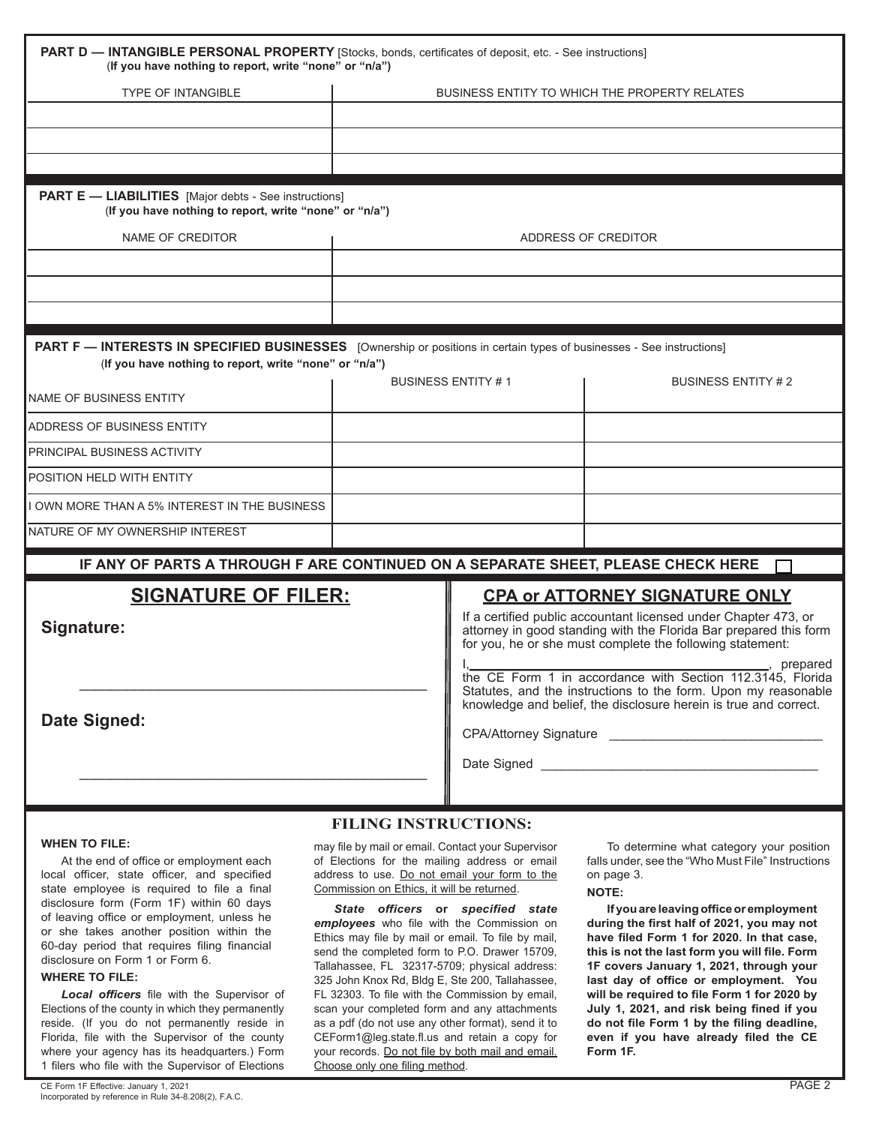| <b>PART D - INTANGIBLE PERSONAL PROPERTY</b> [Stocks, bonds, certificates of deposit, etc. - See instructions]<br>(If you have nothing to report, write "none" or "n/a")                                                                                                                                                                                                                                                                                                                                                 |                                                      |                                                                                                                                                                                                                                                                                                                         |                           |  |  |
|--------------------------------------------------------------------------------------------------------------------------------------------------------------------------------------------------------------------------------------------------------------------------------------------------------------------------------------------------------------------------------------------------------------------------------------------------------------------------------------------------------------------------|------------------------------------------------------|-------------------------------------------------------------------------------------------------------------------------------------------------------------------------------------------------------------------------------------------------------------------------------------------------------------------------|---------------------------|--|--|
| <b>TYPE OF INTANGIBLE</b>                                                                                                                                                                                                                                                                                                                                                                                                                                                                                                | <b>BUSINESS ENTITY TO WHICH THE PROPERTY RELATES</b> |                                                                                                                                                                                                                                                                                                                         |                           |  |  |
|                                                                                                                                                                                                                                                                                                                                                                                                                                                                                                                          |                                                      |                                                                                                                                                                                                                                                                                                                         |                           |  |  |
|                                                                                                                                                                                                                                                                                                                                                                                                                                                                                                                          |                                                      |                                                                                                                                                                                                                                                                                                                         |                           |  |  |
|                                                                                                                                                                                                                                                                                                                                                                                                                                                                                                                          |                                                      |                                                                                                                                                                                                                                                                                                                         |                           |  |  |
| <b>PART E — LIABILITIES</b> [Major debts - See instructions]<br>(If you have nothing to report, write "none" or "n/a")                                                                                                                                                                                                                                                                                                                                                                                                   |                                                      |                                                                                                                                                                                                                                                                                                                         |                           |  |  |
| NAME OF CREDITOR                                                                                                                                                                                                                                                                                                                                                                                                                                                                                                         | ADDRESS OF CREDITOR                                  |                                                                                                                                                                                                                                                                                                                         |                           |  |  |
|                                                                                                                                                                                                                                                                                                                                                                                                                                                                                                                          |                                                      |                                                                                                                                                                                                                                                                                                                         |                           |  |  |
|                                                                                                                                                                                                                                                                                                                                                                                                                                                                                                                          |                                                      |                                                                                                                                                                                                                                                                                                                         |                           |  |  |
|                                                                                                                                                                                                                                                                                                                                                                                                                                                                                                                          |                                                      |                                                                                                                                                                                                                                                                                                                         |                           |  |  |
| PART F - INTERESTS IN SPECIFIED BUSINESSES [Ownership or positions in certain types of businesses - See instructions]<br>(If you have nothing to report, write "none" or "n/a")                                                                                                                                                                                                                                                                                                                                          |                                                      |                                                                                                                                                                                                                                                                                                                         |                           |  |  |
| <b>NAME OF BUSINESS ENTITY</b>                                                                                                                                                                                                                                                                                                                                                                                                                                                                                           | <b>BUSINESS ENTITY #1</b>                            |                                                                                                                                                                                                                                                                                                                         | <b>BUSINESS ENTITY #2</b> |  |  |
| ADDRESS OF BUSINESS ENTITY                                                                                                                                                                                                                                                                                                                                                                                                                                                                                               |                                                      |                                                                                                                                                                                                                                                                                                                         |                           |  |  |
| PRINCIPAL BUSINESS ACTIVITY                                                                                                                                                                                                                                                                                                                                                                                                                                                                                              |                                                      |                                                                                                                                                                                                                                                                                                                         |                           |  |  |
| POSITION HELD WITH ENTITY                                                                                                                                                                                                                                                                                                                                                                                                                                                                                                |                                                      |                                                                                                                                                                                                                                                                                                                         |                           |  |  |
| OWN MORE THAN A 5% INTEREST IN THE BUSINESS                                                                                                                                                                                                                                                                                                                                                                                                                                                                              |                                                      |                                                                                                                                                                                                                                                                                                                         |                           |  |  |
| NATURE OF MY OWNERSHIP INTEREST                                                                                                                                                                                                                                                                                                                                                                                                                                                                                          |                                                      |                                                                                                                                                                                                                                                                                                                         |                           |  |  |
| IF ANY OF PARTS A THROUGH F ARE CONTINUED ON A SEPARATE SHEET, PLEASE CHECK HERE                                                                                                                                                                                                                                                                                                                                                                                                                                         |                                                      |                                                                                                                                                                                                                                                                                                                         |                           |  |  |
| <b>SIGNATURE OF FILER:</b><br>Signature:<br>Date Signed:                                                                                                                                                                                                                                                                                                                                                                                                                                                                 |                                                      | <b>CPA or ATTORNEY SIGNATURE ONLY</b><br>If a certified public accountant licensed under Chapter 473, or<br>attorney in good standing with the Florida Bar prepared this form<br>for you, he or she must complete the following statement:<br>_, prepared<br>the CE Form 1 in accordance with Section 112.3145, Florida |                           |  |  |
|                                                                                                                                                                                                                                                                                                                                                                                                                                                                                                                          |                                                      | Statutes, and the instructions to the form. Upon my reasonable<br>knowledge and belief, the disclosure herein is true and correct.                                                                                                                                                                                      |                           |  |  |
| <b>FILING INSTRUCTIONS:</b><br><b>WHEN TO FILE:</b><br>may file by mail or email. Contact your Supervisor<br>To determine what category your position<br>of Elections for the mailing address or email<br>falls under, see the "Who Must File" Instructions<br>At the end of office or employment each<br>address to use. Do not email your form to the<br>local officer, state officer, and specified<br>on page 3.<br>Commission on Ethics, it will be returned.<br>state employee is required to file a final<br>NOTF |                                                      |                                                                                                                                                                                                                                                                                                                         |                           |  |  |

 *State officers* **or** *specified state employees* who file with the Commission on Ethics may file by mail or email. To file by mail, send the completed form to P.O. Drawer 15709, Tallahassee, FL 32317-5709; physical address: 325 John Knox Rd, Bldg E, Ste 200, Tallahassee, FL 32303. To file with the Commission by email, scan your completed form and any attachments as a pdf (do not use any other format), send it to CEForm1@leg.state.fl.us and retain a copy for your records. Do not file by both mail and email. Choose only one filing method.

**NOTE:**

**If you are leaving office or employment during the first half of 2021, you may not have filed Form 1 for 2020. In that case, this is not the last form you will file. Form 1F covers January 1, 2021, through your last day of office or employment. You will be required to file Form 1 for 2020 by July 1, 2021, and risk being fined if you do not file Form 1 by the filing deadline, even if you have already filed the CE Form 1F.**

state employee is required to file a final disclosure form (Form 1F) within 60 days of leaving office or employment, unless he or she takes another position within the 60-day period that requires filing financial disclosure on Form 1 or Form 6.

#### **WHERE TO FILE:**

 *Local officers* file with the Supervisor of Elections of the county in which they permanently reside. (If you do not permanently reside in Florida, file with the Supervisor of the county where your agency has its headquarters.) Form 1 filers who file with the Supervisor of Elections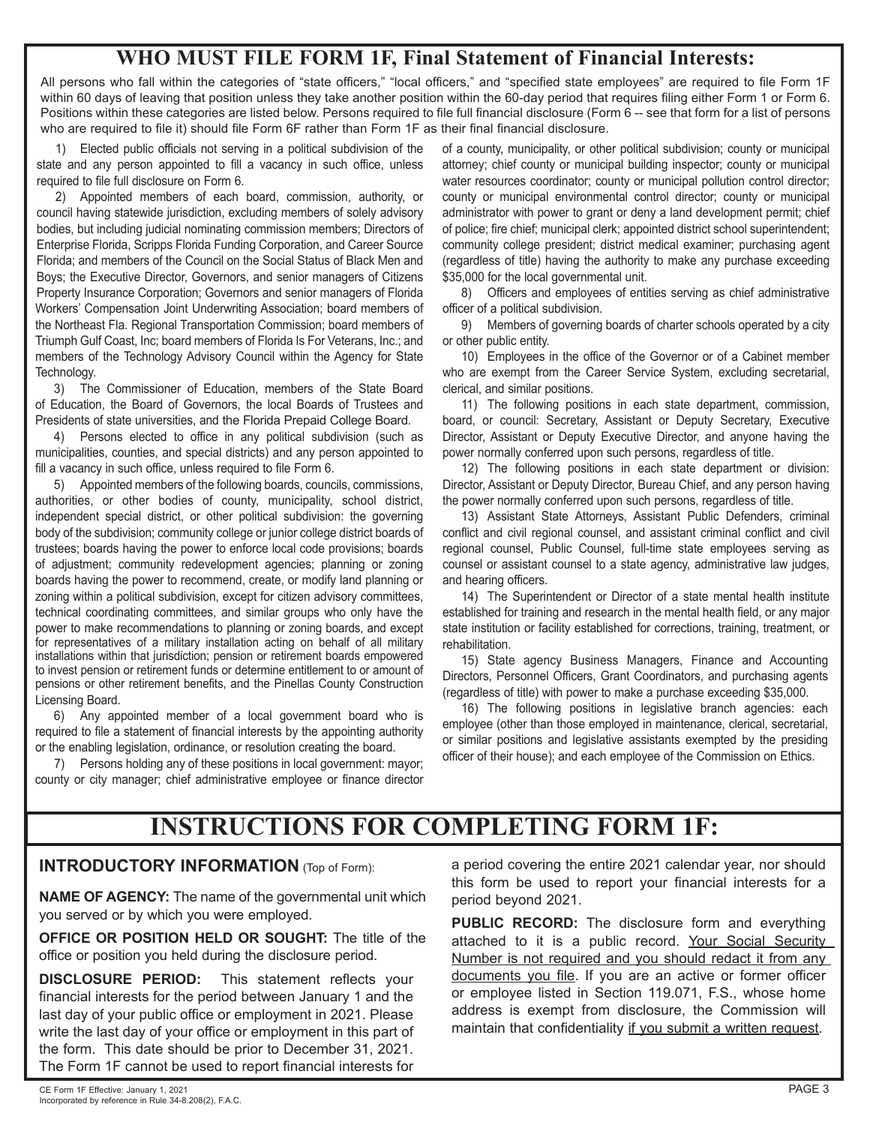# **WHO MUST FILE FORM 1F, Final Statement of Financial Interests:**

All persons who fall within the categories of "state officers," "local officers," and "specified state employees" are required to file Form 1F within 60 days of leaving that position unless they take another position within the 60-day period that requires filing either Form 1 or Form 6. Positions within these categories are listed below. Persons required to file full financial disclosure (Form 6 -- see that form for a list of persons who are required to file it) should file Form 6F rather than Form 1F as their final financial disclosure.

1) Elected public officials not serving in a political subdivision of the state and any person appointed to fill a vacancy in such office, unless required to file full disclosure on Form 6.

2) Appointed members of each board, commission, authority, or council having statewide jurisdiction, excluding members of solely advisory bodies, but including judicial nominating commission members; Directors of Enterprise Florida, Scripps Florida Funding Corporation, and Career Source Florida; and members of the Council on the Social Status of Black Men and Boys; the Executive Director, Governors, and senior managers of Citizens Property Insurance Corporation; Governors and senior managers of Florida Workers' Compensation Joint Underwriting Association; board members of the Northeast Fla. Regional Transportation Commission; board members of Triumph Gulf Coast, Inc; board members of Florida Is For Veterans, Inc.; and members of the Technology Advisory Council within the Agency for State Technology.

3) The Commissioner of Education, members of the State Board of Education, the Board of Governors, the local Boards of Trustees and Presidents of state universities, and the Florida Prepaid College Board.

4) Persons elected to office in any political subdivision (such as municipalities, counties, and special districts) and any person appointed to fill a vacancy in such office, unless required to file Form 6.

5) Appointed members of the following boards, councils, commissions, authorities, or other bodies of county, municipality, school district, independent special district, or other political subdivision: the governing body of the subdivision; community college or junior college district boards of trustees; boards having the power to enforce local code provisions; boards of adjustment; community redevelopment agencies; planning or zoning boards having the power to recommend, create, or modify land planning or zoning within a political subdivision, except for citizen advisory committees, technical coordinating committees, and similar groups who only have the power to make recommendations to planning or zoning boards, and except for representatives of a military installation acting on behalf of all military installations within that jurisdiction; pension or retirement boards empowered to invest pension or retirement funds or determine entitlement to or amount of pensions or other retirement benefits, and the Pinellas County Construction Licensing Board.

6) Any appointed member of a local government board who is required to file a statement of financial interests by the appointing authority or the enabling legislation, ordinance, or resolution creating the board.

 7) Persons holding any of these positions in local government: mayor; county or city manager; chief administrative employee or finance director

of a county, municipality, or other political subdivision; county or municipal attorney; chief county or municipal building inspector; county or municipal water resources coordinator; county or municipal pollution control director; county or municipal environmental control director; county or municipal administrator with power to grant or deny a land development permit; chief of police; fire chief; municipal clerk; appointed district school superintendent; community college president; district medical examiner; purchasing agent (regardless of title) having the authority to make any purchase exceeding \$35,000 for the local governmental unit.

8) Officers and employees of entities serving as chief administrative officer of a political subdivision.

9) Members of governing boards of charter schools operated by a city or other public entity.

10) Employees in the office of the Governor or of a Cabinet member who are exempt from the Career Service System, excluding secretarial, clerical, and similar positions.

11) The following positions in each state department, commission, board, or council: Secretary, Assistant or Deputy Secretary, Executive Director, Assistant or Deputy Executive Director, and anyone having the power normally conferred upon such persons, regardless of title.

12) The following positions in each state department or division: Director, Assistant or Deputy Director, Bureau Chief, and any person having the power normally conferred upon such persons, regardless of title.

13) Assistant State Attorneys, Assistant Public Defenders, criminal conflict and civil regional counsel, and assistant criminal conflict and civil regional counsel, Public Counsel, full-time state employees serving as counsel or assistant counsel to a state agency, administrative law judges, and hearing officers.

14) The Superintendent or Director of a state mental health institute established for training and research in the mental health field, or any major state institution or facility established for corrections, training, treatment, or rehabilitation.

15) State agency Business Managers, Finance and Accounting Directors, Personnel Officers, Grant Coordinators, and purchasing agents (regardless of title) with power to make a purchase exceeding \$35,000.

16) The following positions in legislative branch agencies: each employee (other than those employed in maintenance, clerical, secretarial, or similar positions and legislative assistants exempted by the presiding officer of their house); and each employee of the Commission on Ethics.

# **INSTRUCTIONS FOR COMPLETING FORM 1F:**

# **INTRODUCTORY INFORMATION** (Top of Form):

**NAME OF AGENCY:** The name of the governmental unit which you served or by which you were employed.

**OFFICE OR POSITION HELD OR SOUGHT:** The title of the office or position you held during the disclosure period.

**DISCLOSURE PERIOD:** This statement reflects your financial interests for the period between January 1 and the last day of your public office or employment in 2021. Please write the last day of your office or employment in this part of the form. This date should be prior to December 31, 2021. The Form 1F cannot be used to report financial interests for

a period covering the entire 2021 calendar year, nor should this form be used to report your financial interests for a period beyond 2021.

**PUBLIC RECORD:** The disclosure form and everything attached to it is a public record. Your Social Security Number is not required and you should redact it from any documents you file. If you are an active or former officer or employee listed in Section 119.071, F.S., whose home address is exempt from disclosure, the Commission will maintain that confidentiality if you submit a written request.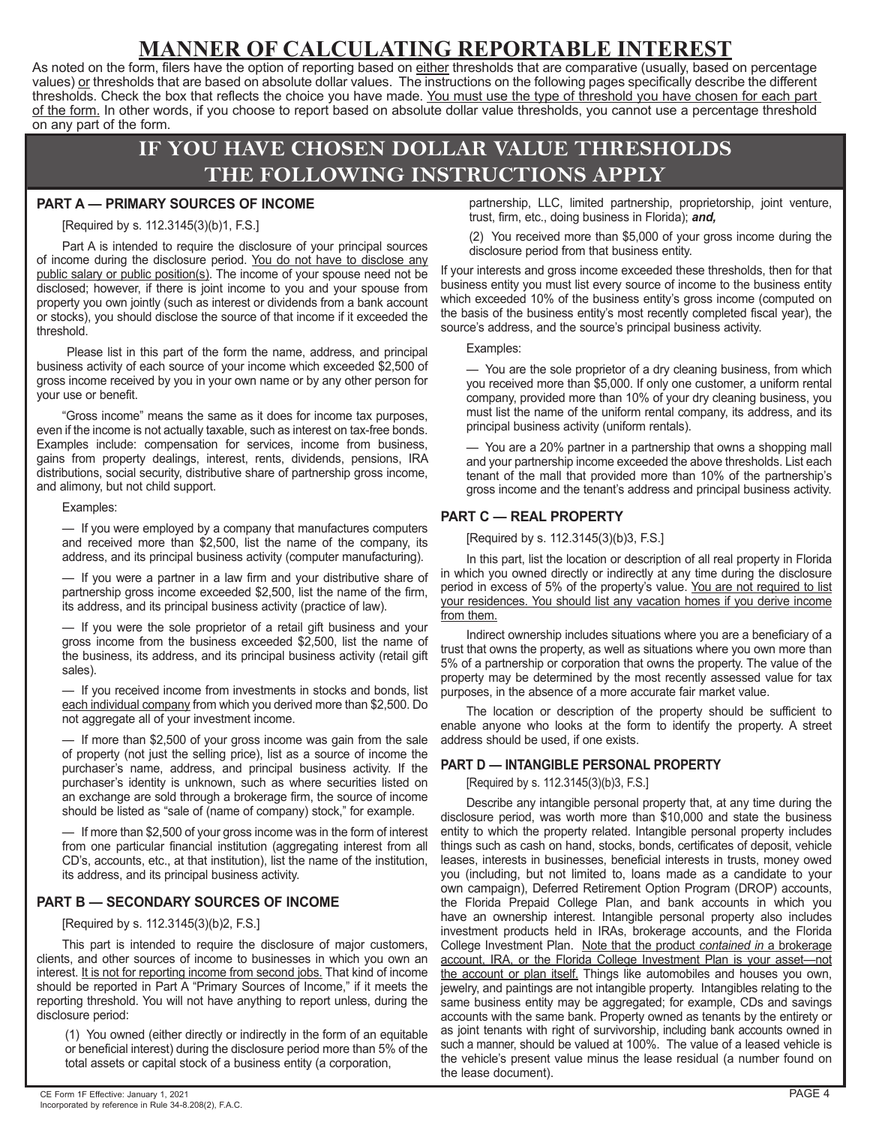# **MANNER OF CALCULATING REPORTABLE INTEREST**

As noted on the form, filers have the option of reporting based on either thresholds that are comparative (usually, based on percentage values) or thresholds that are based on absolute dollar values. The instructions on the following pages specifically describe the different thresholds. Check the box that reflects the choice you have made. You must use the type of threshold you have chosen for each part of the form. In other words, if you choose to report based on absolute dollar value thresholds, you cannot use a percentage threshold on any part of the form.

# **IF YOU HAVE CHOSEN DOLLAR VALUE THRESHOLDS THE FOLLOWING INSTRUCTIONS APPLY**

### **PART A — PRIMARY SOURCES OF INCOME**

#### [Required by s. 112.3145(3)(b)1, F.S.]

Part A is intended to require the disclosure of your principal sources of income during the disclosure period. You do not have to disclose any public salary or public position(s). The income of your spouse need not be disclosed; however, if there is joint income to you and your spouse from property you own jointly (such as interest or dividends from a bank account or stocks), you should disclose the source of that income if it exceeded the threshold.

 Please list in this part of the form the name, address, and principal business activity of each source of your income which exceeded \$2,500 of gross income received by you in your own name or by any other person for your use or benefit.

"Gross income" means the same as it does for income tax purposes, even if the income is not actually taxable, such as interest on tax-free bonds. Examples include: compensation for services, income from business, gains from property dealings, interest, rents, dividends, pensions, IRA distributions, social security, distributive share of partnership gross income, and alimony, but not child support.

#### Examples:

— If you were employed by a company that manufactures computers and received more than \$2,500, list the name of the company, its address, and its principal business activity (computer manufacturing).

— If you were a partner in a law firm and your distributive share of partnership gross income exceeded \$2,500, list the name of the firm, its address, and its principal business activity (practice of law).

— If you were the sole proprietor of a retail gift business and your gross income from the business exceeded \$2,500, list the name of the business, its address, and its principal business activity (retail gift sales).

— If you received income from investments in stocks and bonds, list each individual company from which you derived more than \$2,500. Do not aggregate all of your investment income.

— If more than \$2,500 of your gross income was gain from the sale of property (not just the selling price), list as a source of income the purchaser's name, address, and principal business activity. If the purchaser's identity is unknown, such as where securities listed on an exchange are sold through a brokerage firm, the source of income should be listed as "sale of (name of company) stock," for example.

— If more than \$2,500 of your gross income was in the form of interest from one particular financial institution (aggregating interest from all CD's, accounts, etc., at that institution), list the name of the institution, its address, and its principal business activity.

# **PART B — SECONDARY SOURCES OF INCOME**

[Required by s. 112.3145(3)(b)2, F.S.]

This part is intended to require the disclosure of major customers, clients, and other sources of income to businesses in which you own an interest. It is not for reporting income from second jobs. That kind of income should be reported in Part A "Primary Sources of Income," if it meets the reporting threshold. You will not have anything to report unless, during the disclosure period:

(1) You owned (either directly or indirectly in the form of an equitable or beneficial interest) during the disclosure period more than 5% of the total assets or capital stock of a business entity (a corporation,

(2) You received more than \$5,000 of your gross income during the disclosure period from that business entity.

If your interests and gross income exceeded these thresholds, then for that business entity you must list every source of income to the business entity which exceeded 10% of the business entity's gross income (computed on the basis of the business entity's most recently completed fiscal year), the source's address, and the source's principal business activity.

Examples:

— You are the sole proprietor of a dry cleaning business, from which you received more than \$5,000. If only one customer, a uniform rental company, provided more than 10% of your dry cleaning business, you must list the name of the uniform rental company, its address, and its principal business activity (uniform rentals).

You are a 20% partner in a partnership that owns a shopping mall and your partnership income exceeded the above thresholds. List each tenant of the mall that provided more than 10% of the partnership's gross income and the tenant's address and principal business activity.

# **PART C — REAL PROPERTY**

[Required by s. 112.3145(3)(b)3, F.S.]

In this part, list the location or description of all real property in Florida in which you owned directly or indirectly at any time during the disclosure period in excess of 5% of the property's value. You are not required to list your residences. You should list any vacation homes if you derive income from them.

Indirect ownership includes situations where you are a beneficiary of a trust that owns the property, as well as situations where you own more than 5% of a partnership or corporation that owns the property. The value of the property may be determined by the most recently assessed value for tax purposes, in the absence of a more accurate fair market value.

The location or description of the property should be sufficient to enable anyone who looks at the form to identify the property. A street address should be used, if one exists.

# **PART D — INTANGIBLE PERSONAL PROPERTY**

[Required by s. 112.3145(3)(b)3, F.S.]

Describe any intangible personal property that, at any time during the disclosure period, was worth more than \$10,000 and state the business entity to which the property related. Intangible personal property includes things such as cash on hand, stocks, bonds, certificates of deposit, vehicle leases, interests in businesses, beneficial interests in trusts, money owed you (including, but not limited to, loans made as a candidate to your own campaign), Deferred Retirement Option Program (DROP) accounts, the Florida Prepaid College Plan, and bank accounts in which you have an ownership interest. Intangible personal property also includes investment products held in IRAs, brokerage accounts, and the Florida College Investment Plan. Note that the product *contained in* a brokerage account, IRA, or the Florida College Investment Plan is your asset—not <u>the account or plan itself.</u> Things like automobiles and houses you own, jewelry, and paintings are not intangible property. Intangibles relating to the same business entity may be aggregated; for example, CDs and savings accounts with the same bank. Property owned as tenants by the entirety or as joint tenants with right of survivorship, including bank accounts owned in such a manner, should be valued at 100%. The value of a leased vehicle is the vehicle's present value minus the lease residual (a number found on the lease document).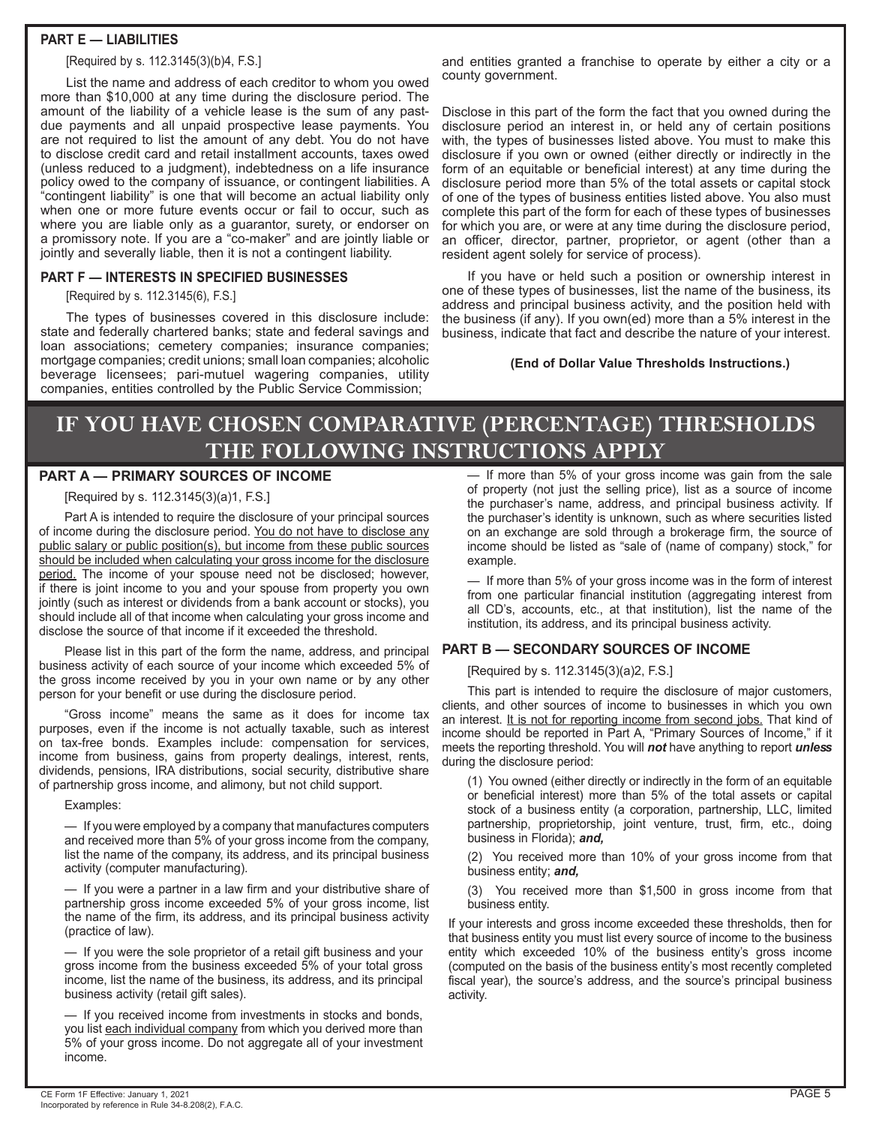### **PART E — LIABILITIES**

[Required by s. 112.3145(3)(b)4, F.S.]

List the name and address of each creditor to whom you owed more than \$10,000 at any time during the disclosure period. The amount of the liability of a vehicle lease is the sum of any pastdue payments and all unpaid prospective lease payments. You are not required to list the amount of any debt. You do not have to disclose credit card and retail installment accounts, taxes owed (unless reduced to a judgment), indebtedness on a life insurance policy owed to the company of issuance, or contingent liabilities. A "contingent liability" is one that will become an actual liability only when one or more future events occur or fail to occur, such as where you are liable only as a guarantor, surety, or endorser on a promissory note. If you are a "co-maker" and are jointly liable or jointly and severally liable, then it is not a contingent liability.

#### **PART F — INTERESTS IN SPECIFIED BUSINESSES**

[Required by s. 112.3145(6), F.S.]

The types of businesses covered in this disclosure include: state and federally chartered banks; state and federal savings and loan associations; cemetery companies; insurance companies; mortgage companies; credit unions; small loan companies; alcoholic beverage licensees; pari-mutuel wagering companies, utility companies, entities controlled by the Public Service Commission;

and entities granted a franchise to operate by either a city or a county government.

Disclose in this part of the form the fact that you owned during the disclosure period an interest in, or held any of certain positions with, the types of businesses listed above. You must to make this disclosure if you own or owned (either directly or indirectly in the form of an equitable or beneficial interest) at any time during the disclosure period more than 5% of the total assets or capital stock of one of the types of business entities listed above. You also must complete this part of the form for each of these types of businesses for which you are, or were at any time during the disclosure period, an officer, director, partner, proprietor, or agent (other than a resident agent solely for service of process).

If you have or held such a position or ownership interest in one of these types of businesses, list the name of the business, its address and principal business activity, and the position held with the business (if any). If you own(ed) more than a 5% interest in the business, indicate that fact and describe the nature of your interest.

**(End of Dollar Value Thresholds Instructions.)**

# **IF YOU HAVE CHOSEN COMPARATIVE (PERCENTAGE) THRESHOLDS THE FOLLOWING INSTRUCTIONS APPLY**

### **PART A — PRIMARY SOURCES OF INCOME**

[Required by s. 112.3145(3)(a)1, F.S.]

Part A is intended to require the disclosure of your principal sources of income during the disclosure period. You do not have to disclose any public salary or public position(s), but income from these public sources should be included when calculating your gross income for the disclosure period. The income of your spouse need not be disclosed; however, if there is joint income to you and your spouse from property you own jointly (such as interest or dividends from a bank account or stocks), you should include all of that income when calculating your gross income and disclose the source of that income if it exceeded the threshold.

Please list in this part of the form the name, address, and principal business activity of each source of your income which exceeded 5% of the gross income received by you in your own name or by any other person for your benefit or use during the disclosure period.

"Gross income" means the same as it does for income tax purposes, even if the income is not actually taxable, such as interest on tax-free bonds. Examples include: compensation for services, income from business, gains from property dealings, interest, rents, dividends, pensions, IRA distributions, social security, distributive share of partnership gross income, and alimony, but not child support.

Examples:

— If you were employed by a company that manufactures computers and received more than 5% of your gross income from the company, list the name of the company, its address, and its principal business activity (computer manufacturing).

— If you were a partner in a law firm and your distributive share of partnership gross income exceeded 5% of your gross income, list the name of the firm, its address, and its principal business activity (practice of law).

— If you were the sole proprietor of a retail gift business and your gross income from the business exceeded 5% of your total gross income, list the name of the business, its address, and its principal business activity (retail gift sales).

— If you received income from investments in stocks and bonds, you list each individual company from which you derived more than 5% of your gross income. Do not aggregate all of your investment income.

— If more than 5% of your gross income was gain from the sale of property (not just the selling price), list as a source of income the purchaser's name, address, and principal business activity. If the purchaser's identity is unknown, such as where securities listed on an exchange are sold through a brokerage firm, the source of income should be listed as "sale of (name of company) stock," for example.

— If more than 5% of your gross income was in the form of interest from one particular financial institution (aggregating interest from all CD's, accounts, etc., at that institution), list the name of the institution, its address, and its principal business activity.

# **PART B — SECONDARY SOURCES OF INCOME**

[Required by s. 112.3145(3)(a)2, F.S.]

This part is intended to require the disclosure of major customers, clients, and other sources of income to businesses in which you own an interest. It is not for reporting income from second jobs. That kind of income should be reported in Part A, "Primary Sources of Income," if it meets the reporting threshold. You will *not* have anything to report *unless* during the disclosure period:

(1) You owned (either directly or indirectly in the form of an equitable or beneficial interest) more than 5% of the total assets or capital stock of a business entity (a corporation, partnership, LLC, limited partnership, proprietorship, joint venture, trust, firm, etc., doing business in Florida); *and,*

(2) You received more than 10% of your gross income from that business entity; *and,*

(3) You received more than \$1,500 in gross income from that business entity.

If your interests and gross income exceeded these thresholds, then for that business entity you must list every source of income to the business entity which exceeded 10% of the business entity's gross income (computed on the basis of the business entity's most recently completed fiscal year), the source's address, and the source's principal business activity.